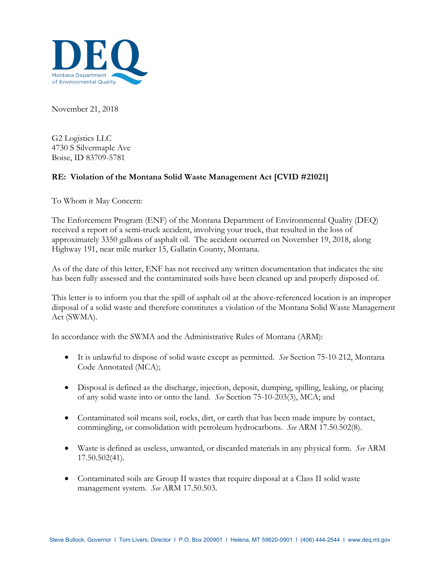

November 21, 2018

G2 Logistics LLC 4730 S Silvermaple Ave Boise, ID 83709-5781

## **RE: Violation of the Montana Solid Waste Management Act [CVID #21021]**

To Whom it May Concern:

The Enforcement Program (ENF) of the Montana Department of Environmental Quality (DEQ) received a report of a semi-truck accident, involving your truck, that resulted in the loss of approximately 3350 gallons of asphalt oil. The accident occurred on November 19, 2018, along Highway 191, near mile marker 15, Gallatin County, Montana.

As of the date of this letter, ENF has not received any written documentation that indicates the site has been fully assessed and the contaminated soils have been cleaned up and properly disposed of.

This letter is to inform you that the spill of asphalt oil at the above-referenced location is an improper disposal of a solid waste and therefore constitutes a violation of the Montana Solid Waste Management Act (SWMA).

In accordance with the SWMA and the Administrative Rules of Montana (ARM):

- It is unlawful to dispose of solid waste except as permitted. *See* Section 75-10-212, Montana Code Annotated (MCA);
- Disposal is defined as the discharge, injection, deposit, dumping, spilling, leaking, or placing of any solid waste into or onto the land. *See* Section 75-10-203(3), MCA; and
- Contaminated soil means soil, rocks, dirt, or earth that has been made impure by contact, commingling, or consolidation with petroleum hydrocarbons. *See* ARM 17.50.502(8).
- Waste is defined as useless, unwanted, or discarded materials in any physical form. *See* ARM 17.50.502(41).
- Contaminated soils are Group II wastes that require disposal at a Class II solid waste management system. *See* ARM 17.50.503.